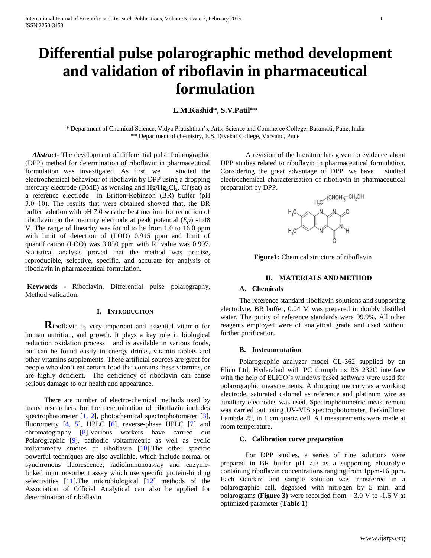# **Differential pulse polarographic method development and validation of riboflavin in pharmaceutical formulation**

# **L.M.Kashid\*, S.V.Patil\*\***

\* Department of Chemical Science, Vidya Pratishthan's, Arts, Science and Commerce College, Baramati, Pune, India \*\* Department of chemistry, E.S. Divekar College, Varvand, Pune

 *Abstract***-** The development of differential pulse Polarographic (DPP) method for determination of riboflavin in pharmaceutical formulation was investigated. As first, we studied the electrochemical behaviour of riboflavin by DPP using a dropping mercury electrode (DME) as working and  $Hg/Hg_2Cl_2$ , Cl (sat) as a reference electrode in Britton-Robinson (BR) buffer (pH 3.0−10). The results that were obtained showed that, the BR buffer solution with pH 7.0 was the best medium for reduction of riboflavin on the mercury electrode at peak potential (*Ep*) -1.48 V. The range of linearity was found to be from 1.0 to 16.0 ppm with limit of detection of (LOD) 0.915 ppm and limit of quantification (LOQ) was 3.050 ppm with  $R^2$  value was 0.997. Statistical analysis proved that the method was precise, reproducible, selective, specific, and accurate for analysis of riboflavin in pharmaceutical formulation.

**Keywords** - Riboflavin, Differential pulse polarography, Method validation.

# **I. INTRODUCTION**

**R**iboflavin is very important and essential vitamin for human nutrition, and growth. It plays a key role in biological reduction oxidation process and is available in various foods, but can be found easily in energy drinks, vitamin tablets and other vitamins supplements. These artificial sources are great for people who don't eat certain food that contains these vitamins, or are highly deficient. The deficiency of riboflavin can cause serious damage to our health and appearance.

There are number of electro-chemical methods used by many researchers for the determination of riboflavin includes spectrophotometer [1, 2], photochemical spectrophotometer [3], fluorometry  $[4, 5]$ , HPLC  $[6]$ , reverse-phase HPLC  $[7]$  and chromatography [8].Various workers have carried out Polarographic [9], cathodic voltammetric as well as cyclic voltammetry studies of riboflavin [10].The other specific powerful techniques are also available, which include normal or synchronous fluorescence, radioimmunoassay and enzymelinked immunosorbent assay which use specific protein-binding selectivities [11].The microbiological [12] methods of the Association of Official Analytical can also be applied for determination of riboflavin

A revision of the literature has given no evidence about DPP studies related to riboflavin in pharmaceutical formulation. Considering the great advantage of DPP, we have studied electrochemical characterization of riboflavin in pharmaceutical preparation by DPP.



**Figure1:** Chemical structure of riboflavin

## **II. MATERIALS AND METHOD**

# **A. Chemicals**

The reference standard riboflavin solutions and supporting electrolyte, BR buffer, 0.04 M was prepared in doubly distilled water. The purity of reference standards were 99.9%. All other reagents employed were of analytical grade and used without further purification.

# **B. Instrumentation**

Polarographic analyzer model CL-362 supplied by an Elico Ltd, Hyderabad with PC through its RS 232C interface with the help of ELICO's windows based software were used for polarographic measurements. A dropping mercury as a working electrode, saturated calomel as reference and platinum wire as auxiliary electrodes was used. Spectrophotometric measurement was carried out using UV-VIS spectrophotometer, PerkinElmer Lambda 25, in 1 cm quartz cell. All measurements were made at room temperature.

# **C. Calibration curve preparation**

For DPP studies, a series of nine solutions were prepared in BR buffer pH 7.0 as a supporting electrolyte containing riboflavin concentrations ranging from 1ppm-16 ppm. Each standard and sample solution was transferred in a polarographic cell, degassed with nitrogen by 5 min. and polarograms **(Figure 3)** were recorded from – 3.0 V to -1.6 V at optimized parameter (**Table 1**)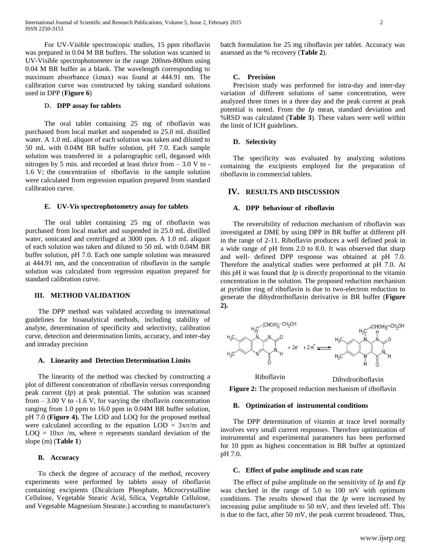For UV-Visible spectroscopic studies, 15 ppm riboflavin was prepared in 0.04 M BR buffers. The solution was scanned in UV-Visible spectrophotometer in the range 200nm-800nm using 0.04 M BR buffer as a blank. The wavelength corresponding to maximum absorbance (λmax) was found at 444.91 nm. The calibration curve was constructed by taking standard solutions used in DPP (**Figure 6**)

# **D. DPP assay for tablets**

The oral tablet containing 25 mg of riboflavin was purchased from local market and suspended in 25.0 mL distilled water. A 1.0 mL aliquot of each solution was taken and diluted to 50 mL with 0.04M BR buffer solution, pH 7.0. Each sample solution was transferred in a polarographic cell, degassed with nitrogen by 5 min. and recorded at least thrice from – 3.0 V to - 1.6 V; the concentration of riboflavin in the sample solution were calculated from regression equation prepared from standard calibration curve.

# **E. UV-Vis spectrophotometry assay for tablets**

The oral tablet containing 25 mg of riboflavin was purchased from local market and suspended in 25.0 mL distilled water, sonicated and centrifuged at 3000 rpm. A 1.0 mL aliquot of each solution was taken and diluted to 50 mL with 0.04M BR buffer solution, pH 7.0. Each one sample solution was measured at 444.91 nm, and the concentration of riboflavin in the sample solution was calculated from regression equation prepared for standard calibration curve.

# **III. METHOD VALIDATION**

The DPP method was validated according to international guidelines for bioanalytical methods, including stability of analyte, determination of specificity and selectivity, calibration curve, detection and determination limits, accuracy, and inter-day and intraday precision

# **A. Linearity and Detection Determination Limits**

The linearity of the method was checked by constructing a plot of different concentration of riboflavin versus corresponding peak current (*Ip*) at peak potential. The solution was scanned from  $-3.00$  V to  $-1.6$  V, for varying the riboflavin concentration ranging from 1.0 ppm to 16.0 ppm in 0.04M BR buffer solution, pH 7.0 (**Figure 4).** The LOD and LOQ for the proposed method were calculated according to the equation  $LOD = 3x\sigma/m$  and LOQ =  $10x\sigma$  /m, where  $\sigma$  represents standard deviation of the slope (m) (**Table 1**)

# **B. Accuracy**

To check the degree of accuracy of the method, recovery experiments were performed by tablets assay of riboflavin containing excipients (Dicalcium Phosphate, Microcrystalline Cellulose, Vegetable Stearic Acid, Silica, Vegetable Cellulose, and Vegetable Magnesium Stearate.) according to manufacturer's

batch formulation for 25 mg riboflavin per tablet. Accuracy was assessed as the % recovery (**Table 2**).

# **C. Precision**

Precision study was performed for intra-day and inter-day variation of different solutions of same concentration, were analyzed three times in a three day and the peak current at peak potential is noted. From the *Ip* mean, standard deviation and %RSD was calculated (**Table 3**). These values were well within the limit of ICH guidelines.

# **D. Selectivity**

The specificity was evaluated by analyzing solutions containing the excipients employed for the preparation of riboflavin in commercial tablets.

# **IV. RESULTS AND DISCUSSION**

## **A. DPP behaviour of riboflavin**

The reversibility of reduction mechanism of riboflavin was investigated at DME by using DPP in BR buffer at different pH in the range of 2-11. Riboflavin produces a well defined peak in a wide range of pH from 2.0 to 8.0. It was observed that sharp and well- defined DPP response was obtained at pH 7.0. Therefore the analytical studies were performed at pH 7.0. At this pH it was found that *Ip* is directly proportional to the vitamin concentration in the solution. The proposed reduction mechanism at pyridine ring of riboflavin is due to two-electron reduction to generate the dihydroriboflavin derivative in BR buffer (**Figure 2).**



**Figure 2:** The proposed reduction mechanism of riboflavin

#### **B. Optimization of instrumental conditions**

The DPP determination of vitamin at trace level normally involves very small current responses. Therefore optimization of instrumental and experimental parameters has been performed for 10 ppm as highest concentration in BR buffer at optimized pH 7.0.

#### **C. Effect of pulse amplitude and scan rate**

The effect of pulse amplitude on the sensitivity of *Ip* and *Ep* was checked in the range of 5.0 to 100 mV with optimum conditions. The results showed that the *Ip* were increased by increasing pulse amplitude to 50 mV, and then leveled off. This is due to the fact, after 50 mV, the peak current broadened. Thus,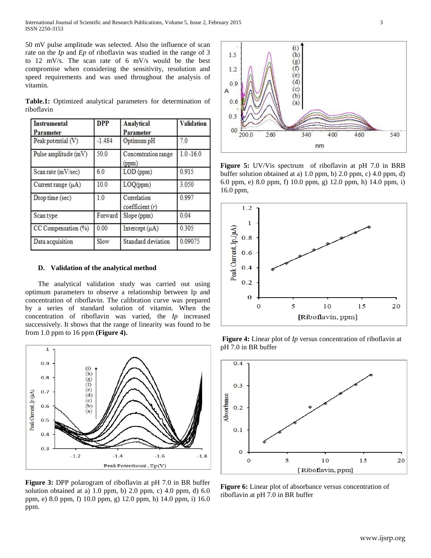International Journal of Scientific and Research Publications, Volume 5, Issue 2, February 2015 3 ISSN 2250-3153

50 mV pulse amplitude was selected. Also the influence of scan rate on the *Ip* and *Ep* of riboflavin was studied in the range of 3 to 12 mV/s. The scan rate of 6 mV/s would be the best compromise when considering the sensitivity, resolution and speed requirements and was used throughout the analysis of vitamin.

|            |  |  | Table.1: Optimized analytical parameters for determination of |  |
|------------|--|--|---------------------------------------------------------------|--|
| riboflavin |  |  |                                                               |  |

| <b>Instrumental</b><br>Parameter | <b>DPP</b> | <b>Analytical</b><br>Parameter | <b>Validation</b> |
|----------------------------------|------------|--------------------------------|-------------------|
| Peak potential (V)               | $-1.484$   | Optimum pH                     | 7.0               |
| Pulse amplitude (mV)             | 50.0       | Concentration range<br>(ppm)   | $1.0 - 16.0$      |
| Scan rate (mV/sec)               | 60         | $LOD$ (ppm)                    | 0.915             |
| Current range $(\mu A)$          | 10.0       | LOQ(ppm)                       | 3.050             |
| Drop time (sec)                  | 1.0        | Correlation<br>coefficient(r)  | 0.997             |
| Scan type                        | Forward    | Slope (ppm)                    | 0.04              |
| CC Compensation (%)              | 0.00       | Intercept $(\mu A)$            | 0.305             |
| Data acquisition                 | Slow       | Standard deviation             | 0.09075           |

## **D. Validation of the analytical method**

The analytical validation study was carried out using optimum parameters to observe a relationship between Ip and concentration of riboflavin. The calibration curve was prepared by a series of standard solution of vitamin. When the concentration of riboflavin was varied, the *Ip* increased successively. It shows that the range of linearity was found to be from 1.0 ppm to 16 ppm **(Figure 4).**



**Figure 3:** DPP polarogram of riboflavin at pH 7.0 in BR buffer solution obtained at a) 1.0 ppm, b) 2.0 ppm, c) 4.0 ppm, d)  $6.0$ ppm, e) 8.0 ppm, f) 10.0 ppm, g) 12.0 ppm, h) 14.0 ppm, i) 16.0 ppm.



**Figure 5:** UV/Vis spectrum of riboflavin at pH 7.0 in BRB buffer solution obtained at a) 1.0 ppm, b) 2.0 ppm, c) 4.0 ppm, d) 6.0 ppm, e) 8.0 ppm, f) 10.0 ppm, g) 12.0 ppm, h) 14.0 ppm, i) 16.0 ppm,



**Figure 4:** Linear plot of *Ip* versus concentration of riboflavin at pH 7.0 in BR buffer



**Figure 6:** Linear plot of absorbance versus concentration of riboflavin at pH 7.0 in BR buffer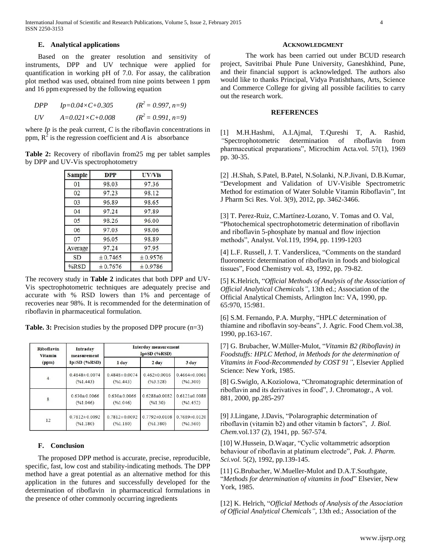# **E. Analytical applications**

Based on the greater resolution and sensitivity of instruments, DPP and UV technique were applied for quantification in working pH of 7.0. For assay, the calibration plot method was used, obtained from nine points between 1 ppm and 16 ppm expressed by the following equation

| DPP | $Ip=0.04\times C+0.305$ | $(R^2 = 0.997, n=9)$ |
|-----|-------------------------|----------------------|
| UV  | $A=0.021\times C+0.008$ | $(R^2 = 0.991, n=9)$ |

where *Ip* is the peak current, *C* is the riboflavin concentrations in ppm,  $R^2$  is the regression coefficient and *A* is absorbance

**Table 2:** Recovery of riboflavin from25 mg per tablet samples by DPP and UV-Vis spectrophotometry

| <b>Sample</b> | <b>DPP</b> | <b>UV/Vis</b> |  |
|---------------|------------|---------------|--|
| 01            | 98.03      | 97.36         |  |
| 02            | 97.23      | 98.12         |  |
| 03            | 96.89      | 98.65         |  |
| 04            | 97.24      | 97.89         |  |
| 05            | 98.26      | 96.00         |  |
| 06            | 97.03      | 98.06         |  |
| 07            | 96.05      | 98.89         |  |
| Average       | 97.24      | 97.95         |  |
| <b>SD</b>     | ± 0.7465   | ± 0.9576      |  |
| $%$ RSD       | ± 0.7676   | ± 0.9786      |  |

The recovery study in **Table 2** indicates that both DPP and UV-Vis spectrophotometric techniques are adequately precise and accurate with % RSD lowers than 1% and percentage of recoveries near 98%. It is recommended for the determination of riboflavin in pharmaceutical formulation.

**Table. 3:** Precision studies by the proposed DPP procure (n=3)

| Riboflavin       | Intraday             | <b>Interday measurement</b> |                     |                     |  |
|------------------|----------------------|-----------------------------|---------------------|---------------------|--|
| Vitamin          | measurement          | $Ip \pm SD$ (%RSD)          |                     |                     |  |
| (ppm)            | $Ip\pm SD$ (%RSD)    | 1 day                       | 2 <sub>day</sub>    | 3 day               |  |
| $\overline{4}$   | $0.4848 \pm 0.0074$  | $0.4848 \pm 0.0074$         | $0.462\pm0.0016$    | $0.4664\pm0.0061$   |  |
|                  | $(\frac{9}{61}.443)$ | (961.443)                   | (963.528)           | (961.300)           |  |
| $\boldsymbol{8}$ | $0.630 \pm 0.0066$   | $0.630 \pm 0.0066$          | $0.6288 \pm 0.0082$ | $0.6121 \pm 0.0088$ |  |
|                  | (961.046)            | (961.046)                   | (961.30)            | (961.452)           |  |
| 12               | $0.7812 \pm 0.0092$  | $0.7812 \pm 0.0092$         | $0.7792\pm0.0108$   | 0.7689±0.0120       |  |
|                  | (%1.180)             | (961.180)                   | (961.380)           | (961.560)           |  |

# **F. Conclusion**

The proposed DPP method is accurate, precise, reproducible, specific, fast, low cost and stability-indicating methods. The DPP method have a great potential as an alternative method for this application in the futures and successfully developed for the determination of riboflavin in pharmaceutical formulations in the presence of other commonly occurring ingredients

#### **ACKNOWLEDGMENT**

The work has been carried out under BCUD research project, Savitribai Phule Pune University, Ganeshkhind, Pune, and their financial support is acknowledged. The authors also would like to thanks Principal, Vidya Pratishthans, Arts, Science and Commerce College for giving all possible facilities to carry out the research work.

# **REFERENCES**

[1] M.H*.*Hashmi, A.I.Ajmal, T.Qureshi T, A. Rashid, *"*Spectrophotometric determination of riboflavin from pharmaceutical preparations", Microchim Acta.vol. 57(1), 1969 pp. 30-35.

[2] .H.Shah, S.Patel, B.Patel, N.Solanki, N.P.Jivani, D.B.Kumar, "Development and Validation of UV-Visible Spectrometric Method for estimation of Water Soluble Vitamin Riboflavin", Int J Pharm Sci Res. Vol. 3(9), 2012, pp. 3462-3466.

[3] T. Perez-Ruiz, C.Martínez-Lozano, V. Tomas and O. Val, "Photochemical spectrophotometric determination of riboflavin and riboflavin 5-phosphate by manual and flow injection methods", Analyst. Vol.119, 1994, pp. 1199-1203

[4] L.F. Russell, J. T. Vanderslicea, "Comments on the standard fluorometric determination of riboflavin in foods and biological tissues", Food Chemistry vol. 43, 1992, pp. 79-82.

[5] K.Helrich, "*Official Methods of Analysis of the Association of Official Analytical Chemicals"*, 13th ed.; Association of the Official Analytical Chemists, Arlington Inc: VA, 1990, pp. 65:970, 15:981.

[6] S.M. Fernando, P.A. Murphy, "HPLC determination of thiamine and riboflavin soy-beans", J. Agric. Food Chem.vol.38, 1990, pp.163-167.

[7] G. Brubacher, W.Müller-Mulot, "*Vitamin B2 (Riboflavin) in Foodstuffs: HPLC Method, in Methods for the determination of Vitamins in Food-Recommended by COST 91"*, Elsevier Applied Science: New York, 1985.

[8] G.Swiglo, A.Koziolowa, "Chromatographic determination of riboflavin and its derivatives in food", J. Chromatogr., A vol. 881, 2000, pp.285-297

[9] J.Lingane, J.Davis, "Polarographic determination of riboflavin (vitamin b2) and other vitamin b factors", *J. Biol. Chem*.vol.137 (2), 1941, pp. 567-574.

[10] W.Hussein, D.Waqar, "Cyclic voltammetric adsorption behaviour of riboflavin at platinum electrode", *Pak. J. Pharm. Sci.vol.* 5(2), 1992, pp.139-145.

[11] G.Brubacher, W.Mueller-Mulot and D.A.T.Southgate, "*Methods for determination of vitamins in food*" Elsevier, New York, 1985.

[12] K. Helrich, "*Official Methods of Analysis of the Association of Official Analytical Chemicals"*, 13th ed.; Association of the